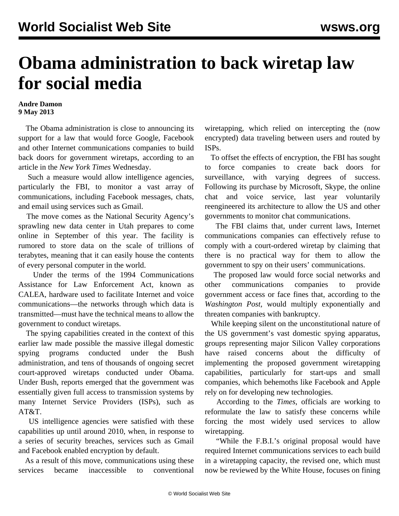## **Obama administration to back wiretap law for social media**

## **Andre Damon 9 May 2013**

 The Obama administration is close to announcing its support for a law that would force Google, Facebook and other Internet communications companies to build back doors for government wiretaps, according to an article in the *New York Times* Wednesday.

 Such a measure would allow intelligence agencies, particularly the FBI, to monitor a vast array of communications, including Facebook messages, chats, and email using services such as Gmail.

 The move comes as the National Security Agency's sprawling new data center in Utah prepares to come online in September of this year. The facility is rumored to store data on the scale of trillions of terabytes, meaning that it can easily house the contents of every personal computer in the world.

 Under the terms of the 1994 Communications Assistance for Law Enforcement Act, known as CALEA, hardware used to facilitate Internet and voice communications—the networks through which data is transmitted—must have the technical means to allow the government to conduct wiretaps.

 The spying capabilities created in the context of this earlier law made possible the massive illegal domestic spying programs conducted under the Bush administration, and tens of thousands of ongoing secret court-approved wiretaps conducted under Obama. Under Bush, reports emerged that the government was essentially given full access to transmission systems by many Internet Service Providers (ISPs), such as AT&T.

 US intelligence agencies were satisfied with these capabilities up until around 2010, when, in response to a series of security breaches, services such as Gmail and Facebook enabled encryption by default.

 As a result of this move, communications using these services became inaccessible to conventional wiretapping, which relied on intercepting the (now encrypted) data traveling between users and routed by ISPs.

 To offset the effects of encryption, the FBI has sought to force companies to create back doors for surveillance, with varying degrees of success. Following its purchase by Microsoft, Skype, the online chat and voice service, last year voluntarily reengineered its architecture to allow the US and other governments to monitor chat communications.

 The FBI claims that, under current laws, Internet communications companies can effectively refuse to comply with a court-ordered wiretap by claiming that there is no practical way for them to allow the government to spy on their users' communications.

 The proposed law would force social networks and other communications companies to provide government access or face fines that, according to the *Washington Post,* would multiply exponentially and threaten companies with bankruptcy.

 While keeping silent on the unconstitutional nature of the US government's vast domestic spying apparatus, groups representing major Silicon Valley corporations have raised concerns about the difficulty of implementing the proposed government wiretapping capabilities, particularly for start-ups and small companies, which behemoths like Facebook and Apple rely on for developing new technologies.

 According to the *Times*, officials are working to reformulate the law to satisfy these concerns while forcing the most widely used services to allow wiretapping.

 "While the F.B.I.'s original proposal would have required Internet communications services to each build in a wiretapping capacity, the revised one, which must now be reviewed by the White House, focuses on fining